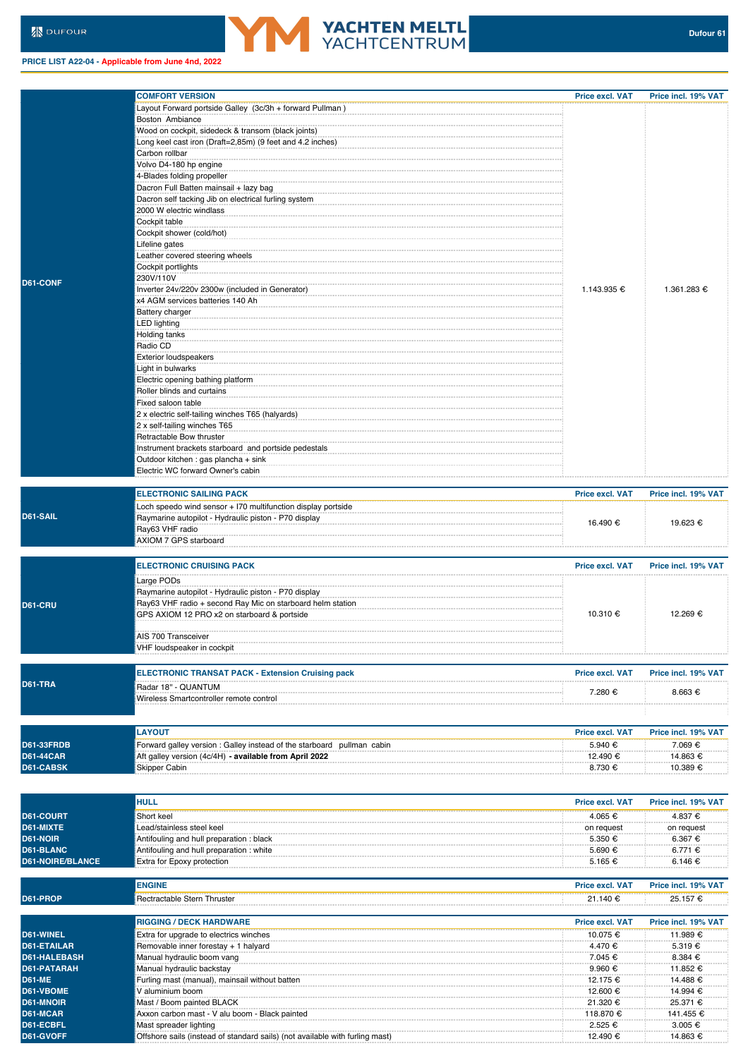## **PRICE LIST A22-04 - Applicable from June 4nd, 2022**

|                         | <b>COMFORT VERSION</b>                                                 | <b>Price excl. VAT</b> | Price incl. 19% VAT |
|-------------------------|------------------------------------------------------------------------|------------------------|---------------------|
|                         | Layout Forward portside Galley (3c/3h + forward Pullman)               |                        |                     |
|                         | Boston Ambiance                                                        |                        |                     |
|                         | Wood on cockpit, sidedeck & transom (black joints)                     |                        |                     |
|                         | Long keel cast iron (Draft=2,85m) (9 feet and 4.2 inches)              |                        |                     |
|                         | Carbon rollbar                                                         |                        |                     |
|                         | Volvo D4-180 hp engine                                                 |                        |                     |
|                         | 4-Blades folding propeller                                             |                        |                     |
|                         | Dacron Full Batten mainsail + lazy bag                                 |                        |                     |
|                         | Dacron self tacking Jib on electrical furling system                   |                        |                     |
|                         | 2000 W electric windlass                                               |                        |                     |
|                         | Cockpit table                                                          |                        |                     |
|                         | Cockpit shower (cold/hot)                                              |                        |                     |
|                         | Lifeline gates                                                         |                        |                     |
|                         | Leather covered steering wheels                                        |                        |                     |
|                         | Cockpit portlights                                                     |                        |                     |
|                         | 230V/110V                                                              |                        |                     |
| D61-CONF                |                                                                        |                        |                     |
|                         | Inverter 24v/220v 2300w (included in Generator)                        | 1.143.935 €            | 1.361.283 €         |
|                         | x4 AGM services batteries 140 Ah                                       |                        |                     |
|                         | Battery charger                                                        |                        |                     |
|                         | <b>LED lighting</b>                                                    |                        |                     |
|                         | Holding tanks                                                          |                        |                     |
|                         | Radio CD                                                               |                        |                     |
|                         | <b>Exterior loudspeakers</b>                                           |                        |                     |
|                         | Light in bulwarks                                                      |                        |                     |
|                         | Electric opening bathing platform                                      |                        |                     |
|                         | Roller blinds and curtains                                             |                        |                     |
|                         | Fixed saloon table                                                     |                        |                     |
|                         | 2 x electric self-tailing winches T65 (halyards)                       |                        |                     |
|                         | 2 x self-tailing winches T65                                           |                        |                     |
|                         | Retractable Bow thruster                                               |                        |                     |
|                         | Instrument brackets starboard and portside pedestals                   |                        |                     |
|                         | Outdoor kitchen : gas plancha + sink                                   |                        |                     |
|                         | Electric WC forward Owner's cabin                                      |                        |                     |
|                         |                                                                        |                        |                     |
|                         | <b>ELECTRONIC SAILING PACK</b>                                         | <b>Price excl. VAT</b> |                     |
|                         |                                                                        |                        | Price incl. 19% VAT |
|                         | Loch speedo wind sensor + I70 multifunction display portside           |                        |                     |
| D61-SAIL                | Raymarine autopilot - Hydraulic piston - P70 display                   | 16.490 €               | 19.623 €            |
|                         | Ray63 VHF radio                                                        |                        |                     |
|                         | AXIOM 7 GPS starboard                                                  |                        |                     |
|                         |                                                                        |                        |                     |
|                         | <b>ELECTRONIC CRUISING PACK</b>                                        | Price excl. VAT        | Price incl. 19% VAT |
|                         |                                                                        |                        |                     |
|                         | Large PODs                                                             |                        |                     |
|                         | Raymarine autopilot - Hydraulic piston - P70 display                   |                        |                     |
| D61-CRU                 | Ray63 VHF radio + second Ray Mic on starboard helm station             |                        |                     |
|                         | GPS AXIOM 12 PRO x2 on starboard & portside                            | 10.310 €               | 12.269 €            |
|                         |                                                                        |                        |                     |
|                         | AIS 700 Transceiver                                                    |                        |                     |
|                         | VHF loudspeaker in cockpit                                             |                        |                     |
|                         |                                                                        |                        |                     |
|                         | <b>ELECTRONIC TRANSAT PACK - Extension Cruising pack</b>               | <b>Price excl. VAT</b> | Price incl. 19% VAT |
| D61-TRA                 | Radar 18" - QUANTUM                                                    |                        |                     |
|                         | Wireless Smartcontroller remote control                                | 7.280 €                | $8.663 \in$         |
|                         |                                                                        |                        |                     |
|                         |                                                                        |                        |                     |
|                         |                                                                        |                        |                     |
|                         | <b>LAYOUT</b>                                                          | <b>Price excl. VAT</b> | Price incl. 19% VAT |
| <b>D61-33FRDB</b>       | Forward galley version : Galley instead of the starboard pullman cabin | 5.940 €                | 7.069 €             |
| <b>D61-44CAR</b>        | Aft galley version (4c/4H) - available from April 2022                 | 12.490 €               | 14.863 €            |
| D61-CABSK               | Skipper Cabin                                                          | 8.730 €                | 10.389 €            |
|                         |                                                                        |                        |                     |
|                         |                                                                        |                        |                     |
|                         | <b>HULL</b>                                                            | <b>Price excl. VAT</b> | Price incl. 19% VAT |
| D61-COURT               | Short keel                                                             | 4.065€                 | 4.837 €             |
| D61-MIXTE               |                                                                        |                        |                     |
|                         | Lead/stainless steel keel                                              | on request             | on request          |
| D61-NOIR                | Antifouling and hull preparation: black                                | 5.350 €                | 6.367 €             |
| D61-BLANC               | Antifouling and hull preparation: white                                | 5.690 €                | 6.771 €             |
| <b>D61-NOIRE/BLANCE</b> | Extra for Epoxy protection                                             | 5.165 €                | 6.146 €             |
|                         |                                                                        |                        |                     |
|                         | <b>ENGINE</b>                                                          | Price excl. VAT        | Price incl. 19% VAT |
| D61-PROP                | Rectractable Stern Thruster                                            | 21.140 €               | 25.157 €            |
|                         |                                                                        |                        |                     |
|                         | <b>RIGGING / DECK HARDWARE</b>                                         | <b>Price excl. VAT</b> | Price incl. 19% VAT |
| D61-WINEL               |                                                                        | 10.075 €               | 11.989 €            |
|                         | Extra for upgrade to electrics winches                                 |                        |                     |
| <b>D61-ETAILAR</b>      | Removable inner forestay + 1 halyard                                   | 4.470 €                | 5.319€              |
| <b>D61-HALEBASH</b>     | Manual hydraulic boom vang                                             | 7.045 €                | 8.384 €             |
| D61-PATARAH             | Manual hydraulic backstay                                              | 9.960 €                | 11.852 €            |
| <b>D61-ME</b>           | Furling mast (manual), mainsail without batten                         | 12.175 €               | 14.488 €            |
| D61-VBOME               | V aluminium boom                                                       | 12.600 €               | 14.994 €            |

**YACHTEN MELTL**<br>YACHTCENTRUM

**D61-VBOME** V aluminium boom 12.600 € 14.994 € **D61-MNOIR** Mast / Boom painted BLACK 21.320 € 25.371 € 21.320 € 25.371 € 25.371 € 21.320 € 25.371 € 25.371 € 25.371 € 25.371 € 25.371 € 25.371 € 25.371 € 25.371 € 25.371 € 25.371 € 25.371 € 25.371 € 25.371 € 25.371 € 25. **D61-MCAR** Axxon carbon mast - V alu boom - Black painted 118.870 € 141.455 € 141.455 € 141.455 € 141.455 € 141.455 € 141.455 € 150.65 € 141.455 € 150.65 € 141.455 € 150.65 € 141.455 € 150.65 € 141.455 € 150.65 € 150.65 **D61-ECBFL** Mast spreader lighting 2.525 € 3.005 € 3.005 € 3.005 € 3.005 € 3.005 € 3.005 € 3.005 € 3.005 € 3.005 € 3.005 € 3.005 € 3.005 € 3.005 € 3.005 € 3.005 € 3.005 € 3.005 € 3.005 € 3.005 € 3.005 € 3.005 € 3.005 € 3.

**D61-GVOFF** Offshore sails (instead of standard sails) (not available with furling mast) 12.490 € 14.863 €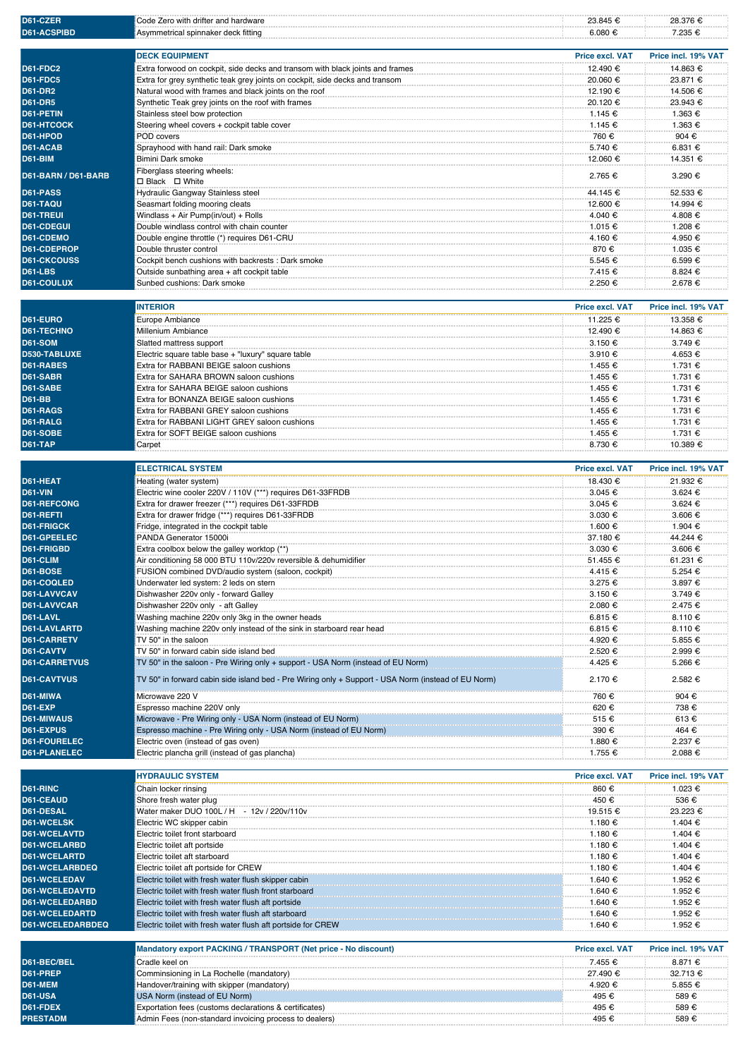| D61-CZER                                 | Code Zero with drifter and hardware                                                                                               | 23.845 €               | 28.376 €            |
|------------------------------------------|-----------------------------------------------------------------------------------------------------------------------------------|------------------------|---------------------|
| D61-ACSPIBD                              | Asymmetrical spinnaker deck fitting                                                                                               | 6.080 €                | 7.235 €             |
|                                          | <b>DECK EQUIPMENT</b>                                                                                                             | Price excl. VAT        | Price incl. 19% VAT |
| <b>D61-FDC2</b>                          | Extra forwood on cockpit, side decks and transom with black joints and frames                                                     | 12.490 €               | 14.863 €            |
| <b>D61-FDC5</b>                          | Extra for grey synthetic teak grey joints on cockpit, side decks and transom                                                      | 20.060 €               | 23.871 €            |
| <b>D61-DR2</b>                           | Natural wood with frames and black joints on the roof                                                                             | 12.190 €               | 14.506 €            |
| <b>D61-DR5</b>                           | Synthetic Teak grey joints on the roof with frames                                                                                | 20.120 €               | 23.943 €            |
| D61-PETIN                                | Stainless steel bow protection                                                                                                    | 1.145 €                | 1.363 €             |
| <b>D61-HTCOCK</b>                        | Steering wheel covers + cockpit table cover                                                                                       | 1.145 €                | 1.363 €             |
| D61-HPOD                                 | POD covers                                                                                                                        | 760 €                  | 904 €               |
| D61-ACAB                                 | Sprayhood with hand rail: Dark smoke                                                                                              | 5.740 €                | 6.831 €             |
| <b>D61-BIM</b>                           | Bimini Dark smoke                                                                                                                 | 12.060 €               | 14.351 €            |
| D61-BARN / D61-BARB                      | Fiberglass steering wheels:<br>□ Black □ White                                                                                    | 2.765 €                | 3.290 €             |
| D61-PASS                                 | Hydraulic Gangway Stainless steel                                                                                                 | 44.145 €               | 52.533 €            |
| D61-TAQU                                 | Seasmart folding mooring cleats                                                                                                   | 12.600 €               | 14.994 €            |
| <b>D61-TREUI</b>                         | Windlass + Air Pump(in/out) + Rolls                                                                                               | 4.040 €                | 4.808 €             |
| <b>D61-CDEGUI</b>                        | Double windlass control with chain counter                                                                                        | 1.015 €                | 1.208 €             |
| D61-CDEMO                                | Double engine throttle (*) requires D61-CRU                                                                                       | 4.160 €                | 4.950 €             |
| D61-CDEPROP                              | Double thruster control                                                                                                           | 870€                   | 1.035 €             |
| <b>D61-CKCOUSS</b>                       | Cockpit bench cushions with backrests : Dark smoke                                                                                | 5.545 €                | 6.599€              |
| <b>D61-LBS</b>                           | Outside sunbathing area + aft cockpit table                                                                                       | 7.415 €                | 8.824 €             |
| <b>D61-COULUX</b>                        | Sunbed cushions: Dark smoke                                                                                                       | 2.250 €                | 2.678 €             |
|                                          | <b>INTERIOR</b>                                                                                                                   | <b>Price excl. VAT</b> | Price incl. 19% VAT |
| D61-EURO                                 | Europe Ambiance                                                                                                                   | 11.225 €               | 13.358 €            |
| D61-TECHNO                               | Millenium Ambiance                                                                                                                | 12.490 €               | 14.863 €            |
| <b>D61-SOM</b>                           | Slatted mattress support                                                                                                          | 3.150 €                | 3.749 €             |
| D530-TABLUXE                             | Electric square table base + "luxury" square table                                                                                | 3.910 €                | 4.653 €             |
| <b>D61-RABES</b>                         | Extra for RABBANI BEIGE saloon cushions                                                                                           | 1.455 €                | 1.731 €             |
| D61-SABR                                 | Extra for SAHARA BROWN saloon cushions                                                                                            | 1.455 €                | 1.731 €             |
| D61-SABE                                 | Extra for SAHARA BEIGE saloon cushions                                                                                            | 1.455 €                | 1.731 €             |
| <b>D61-BB</b>                            | Extra for BONANZA BEIGE saloon cushions                                                                                           | 1.455 €                | 1.731 €             |
| D61-RAGS                                 | Extra for RABBANI GREY saloon cushions                                                                                            | 1.455 €                | 1.731 €             |
| D61-RALG                                 | Extra for RABBANI LIGHT GREY saloon cushions                                                                                      | 1.455 €                | 1.731 €             |
| <b>D61-SOBE</b><br><b>D61-TAP</b>        | Extra for SOFT BEIGE saloon cushions                                                                                              | 1.455 €<br>8.730 €     | 1.731 €<br>10.389 € |
|                                          | Carpet                                                                                                                            |                        |                     |
|                                          | <b>ELECTRICAL SYSTEM</b>                                                                                                          | <b>Price excl. VAT</b> | Price incl. 19% VAT |
| D61-HEAT                                 | Heating (water system)                                                                                                            | 18.430 €               | 21.932 €            |
| <b>D61-VIN</b>                           | Electric wine cooler 220V / 110V (***) requires D61-33FRDB                                                                        | 3.045 €                | 3.624 €             |
| <b>D61-REFCONG</b>                       | Extra for drawer freezer (***) requires D61-33FRDB                                                                                | 3.045 €                | 3.624 €             |
| D61-REFTI                                | Extra for drawer fridge (***) requires D61-33FRDB                                                                                 | 3.030 €                | 3.606 €             |
| <b>D61-FRIGCK</b>                        | Fridge, integrated in the cockpit table                                                                                           | 1.600 €                | 1.904 €             |
| D61-GPEELEC                              | PANDA Generator 15000i                                                                                                            | 37.180 €               | 44.244 €            |
| D61-FRIGBD                               | Extra coolbox below the galley worktop (**)                                                                                       | 3.030 €                | 3.606 €             |
| D61-CLIM                                 | Air conditioning 58 000 BTU 110v/220v reversible & dehumidifier                                                                   | 51.455 €               | 61.231 €            |
| <b>D61-BOSE</b>                          | FUSION combined DVD/audio system (saloon, cockpit)                                                                                | 4.415 €                | 5.254 €             |
| D61-COQLED<br>D61-LAVVCAV                | Underwater led system: 2 leds on stern<br>Dishwasher 220v only - forward Galley                                                   | 3.275 €                | 3.897 €             |
| D61-LAVVCAR                              | Dishwasher 220v only - aft Galley                                                                                                 | 3.150 €<br>2.080 €     | 3.749€<br>2.475 €   |
| D61-LAVL                                 | Washing machine 220v only 3kg in the owner heads                                                                                  | 6.815€                 | 8.110€              |
| <b>D61-LAVLARTD</b>                      | Washing machine 220v only instead of the sink in starboard rear head                                                              | 6.815 €                | 8.110€              |
| <b>D61-CARRETV</b>                       | TV 50" in the saloon                                                                                                              | 4.920 €                | 5.855€              |
| D61-CAVTV                                | TV 50" in forward cabin side island bed                                                                                           | 2.520 €                | 2.999€              |
| <b>D61-CARRETVUS</b>                     | TV 50" in the saloon - Pre Wiring only + support - USA Norm (instead of EU Norm)                                                  | 4.425 €                | 5.266 €             |
| <b>D61-CAVTVUS</b>                       | TV 50" in forward cabin side island bed - Pre Wiring only + Support - USA Norm (instead of EU Norm)                               | 2.170 €                | 2.582 €             |
|                                          |                                                                                                                                   |                        |                     |
| D61-MIWA                                 | Microwave 220 V                                                                                                                   | 760€                   | 904 €               |
| <b>D61-EXP</b>                           | Espresso machine 220V only                                                                                                        | 620€                   | 738 €               |
| <b>D61-MIWAUS</b><br>D61-EXPUS           | Microwave - Pre Wiring only - USA Norm (instead of EU Norm)<br>Espresso machine - Pre Wiring only - USA Norm (instead of EU Norm) | 515€<br>390€           | 613€<br>464 €       |
| <b>D61-FOURELEC</b>                      | Electric oven (instead of gas oven)                                                                                               | 1.880 €                | 2.237 €             |
| <b>D61-PLANELEC</b>                      | Electric plancha grill (instead of gas plancha)                                                                                   | 1.755 €                | 2.088€              |
|                                          |                                                                                                                                   |                        |                     |
|                                          | <b>HYDRAULIC SYSTEM</b>                                                                                                           | <b>Price excl. VAT</b> | Price incl. 19% VAT |
| D61-RINC                                 | Chain locker rinsing                                                                                                              | 860 €                  | 1.023 €             |
| D61-CEAUD                                | Shore fresh water plug                                                                                                            | 450€                   | 536 €               |
| D61-DESAL                                | Water maker DUO 100L / H<br>- 12v / 220v/110v                                                                                     | 19.515 €               | 23.223 €            |
| <b>D61-WCELSK</b><br><b>D61-WCELAVTD</b> | Electric WC skipper cabin<br>Electric toilet front starboard                                                                      | 1.180 €<br>1.180 €     | 1.404 €<br>1.404 €  |
| D61-WCELARBD                             | Electric toilet aft portside                                                                                                      | 1.180 €                | 1.404 €             |
| <b>D61-WCELARTD</b>                      | Electric toilet aft starboard                                                                                                     | 1.180 €                | 1.404 €             |
| <b>D61-WCELARBDEQ</b>                    | Electric toilet aft portside for CREW                                                                                             | 1.180 €                | 1.404 €             |
| D61-WCELEDAV                             | Electric toilet with fresh water flush skipper cabin                                                                              | 1.640 €                | 1.952 €             |
| <b>D61-WCELEDAVTD</b>                    | Electric toilet with fresh water flush front starboard                                                                            | 1.640 €                | 1.952 €             |
| <b>D61-WCELEDARBD</b>                    | Electric toilet with fresh water flush aft portside                                                                               | 1.640 €                | 1.952 €             |
| <b>D61-WCELEDARTD</b>                    | Electric toilet with fresh water flush aft starboard                                                                              | 1.640 €                | 1.952 €             |
| <b>D61-WCELEDARBDEQ</b>                  | Electric toilet with fresh water flush aft portside for CREW                                                                      | 1.640 €                | 1.952 €             |
|                                          |                                                                                                                                   |                        |                     |
|                                          | Mandatory export PACKING / TRANSPORT (Net price - No discount)                                                                    | <b>Price excl. VAT</b> | Price incl. 19% VAT |
| D61-BEC/BEL<br>D61-PREP                  | Cradle keel on<br>Comminsioning in La Rochelle (mandatory)                                                                        | 7.455 €<br>27.490 €    | 8.871 €<br>32.713 € |
| D61-MEM                                  | Handover/training with skipper (mandatory)                                                                                        | 4.920 €                | 5.855 €             |
| <b>D61-USA</b>                           | USA Norm (instead of EU Norm)                                                                                                     | 495€                   | 589€                |
| D61-FDEX                                 | Exportation fees (customs declarations & certificates)                                                                            | 495 €                  | 589€                |
| <b>PRESTADM</b>                          | Admin Fees (non-standard invoicing process to dealers)                                                                            | 495€                   | 589€                |